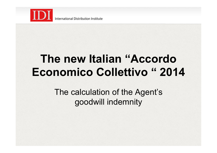

# **The new Italian "Accordo Economico Collettivo " 2014**

The calculation of the Agent's goodwill indemnity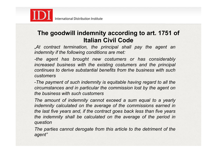

## **The goodwill indemnity according to art. 1751 of Italian Civil Code**

"*At contract termination, the principal shall pay the agent an indemnity if the following conditions are met:* 

*-the agent has brought new costumers or has considerably increased business with the existing costumers and the principal continues to derive substantial benefits from the business with such customers* 

-*The payment of such indemnity is equitable having regard to all the circumstances and in particular the commission lost by the agent on the business with such customers* 

*The amount of indemnity cannot exceed a sum equal to a yearly indemnity calculated on the average of the commissions earned in the last five years and, if the contract goes back less than five years the indemnity shall be calculated on the average of the period in question* 

*The parties cannot derogate from this article to the detriment of the agent"*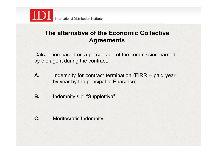

# **The alternative of the Economic Collective Agreements**

Calculation based on a percentage of the commission earned by the agent during the contract.

- **A.** Indemnity for contract termination (FIRR paid year by year by the principal to Enasarco)
- **B.** Indemnity s.c. "Supplettiva"

**C.** Meritocratic Indemnity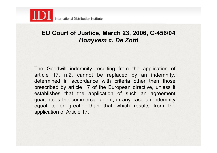

## **EU Court of Justice, March 23, 2006, C-456/04**  *Honyvem c. De Zotti*

The Goodwill indemnity resulting from the application of article 17, n.2, cannot be replaced by an indemnity, determined in accordance with criteria other then those prescribed by article 17 of the European directive, unless it establishes that the application of such an agreement guarantees the commercial agent, in any case an indemnity equal to or greater than that which results from the application of Article 17.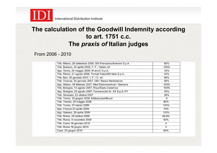

## **The calculation of the Goodwill Indemnity according to art. 1751 c.c. The** *praxis of* **Italian judges**

From 2006 - 2010

| Trib. Milano, 26 settembre 2006, Silli Francesco/Antonini S.p.A. | 60%            |
|------------------------------------------------------------------|----------------|
| Trib. Bolzano, 20 aprile 2006, F. F. / Nesko srl                 | 100%           |
| App. Roma, 24 maggio 2006, M snc/C S.p.A.                        | 33%            |
| Trib. Rimini, 21 agosto 2006, Tornati Fabio/3M Italia S.p.A.     | 52%            |
| Trib. Bari, 20 gennaio 2007, I. F. / C. srl.                     | 66%            |
| Trib. Vicenza, 25 gennaio 2007, GM / Banca Mediolanum            | 80%            |
| App. Milano, 09 febbraio 2007, Med Elettromedicali / Siemens     | 100%           |
| Trib. Bologna, 14 agosto 2007, Roux/Dado Ceramica                | 100%           |
| App. Bologna, 25 agosto 2007, Farmaceutici dr. XX S.p.A./YY      | 55%            |
| Trib. Grosseto, 23 ottobre 2007                                  | 28%            |
| Trib. Torino, 30 giugno 2008, Edilsoluzioni/Buzzi                | $\Omega$       |
| Trib. Treviso, 29 maggio 2008                                    | 80%            |
| Trib. Torino, 27 marzo 2009                                      | 100%           |
| App. Firenze 23 aprile 2009                                      | 70%            |
| App. Salerno, 29 aprile 2009                                     | 100%           |
| Trib. Roma, 29 ottobre 2009                                      | 66,6%          |
| Trib. Roma, 9 novembre 2009                                      | 50%            |
| Trib. Como 18 gennaio 2010                                       | $\overline{0}$ |
| Trib. Roma 16 giugno 2010                                        | $\overline{0}$ |
| Cass. 23 giugno 2010                                             | 60%            |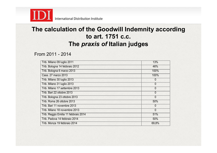

# **The calculation of the Goodwill Indemnity according to art. 1751 c.c. The** *praxis of* **Italian judges**

From 2011 - 2014

| Trib. Milano 09 luglio 2011          | 13%            |
|--------------------------------------|----------------|
| Trib. Bologna 14 febbraio 2012       | 46%            |
| Trib. Bologna 6 marzo 2013           | 100%           |
| Cass. 27 marzo 2013                  | 100%           |
| Trib. Milano 30 luglio 2013          | $\overline{0}$ |
| Trib. Milano 31 luglio 2013          | $\overline{0}$ |
| Trib. Milano 17 settembre 2013       | $\overline{0}$ |
| Trib. Bari 22 ottobre 2013           | $\overline{0}$ |
| Trib. Bologna 23 ottobre 2013        | $\overline{0}$ |
| Trib. Roma 26 ottobre 2013           | 50%            |
| Trib. Bari 11 novembre 2013          | 0              |
| Trib. Milano 18 novembre 2013        | $\overline{0}$ |
| Trib. Reggio Emilia 11 febbraio 2014 | 51%            |
| Trib. Padova 14 febbraio 2014        | 50%            |
| Trib. Monza 19 febbraio 2014         | 69,8%          |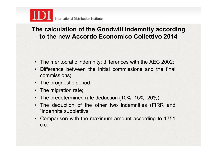

# **The calculation of the Goodwill Indemnity according to the new Accordo Economico Collettivo 2014**

- The meritocratic indemnity: differences with the AEC 2002;
- Difference between the initial commissions and the final commissions;
- The prognostic period;
- The migration rate;
- The predetermined rate deduction (10%, 15%, 20%);
- The deduction of the other two indemnities (FIRR and "indennità supplettiva";
- Comparison with the maximum amount according to 1751 c.c.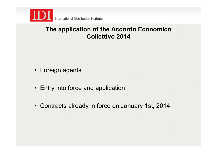

#### **The application of the Accordo Economico Collettivo 2014**

- Foreign agents
- Entry into force and application
- Contracts already in force on January 1st, 2014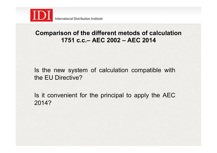

# **Comparison of the different metods of calculation 1751 c.c.– AEC 2002 – AEC 2014**

Is the new system of calculation compatible with the EU Directive?

Is it convenient for the principal to apply the AEC 2014?